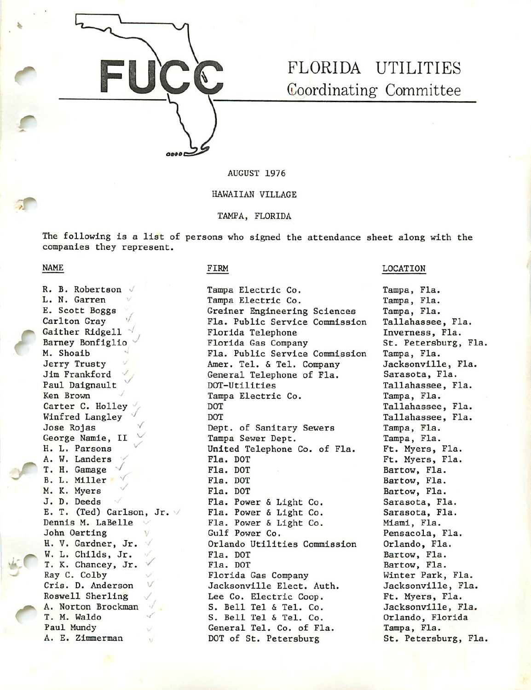

# FLORIDA UTILITIES Coordinating Committee

AUGUST 1976

#### HAWAIIAN VILLAGE

TAMPA, FLORIDA

The following is a list of persons who signed the attendance sheet along with the companies they represent.

### NAME

r

 $45C$ 

'/ V R. B. Robertson L. N. Garren E. Scott Boggs Carlton Gray Gaither Ridgell  $\sqrt{ }$ Barney Bonfiglio M. Shoaib Jerry Trusty Jim Frankford Paul Daignault Ken Brown Carter C. Holley Winfred Langley Jose Rojas George Namie, II H. L. Parsons ^ A. W. Landers T. H. Gamage B. L. Miller  $\vee$ M. K. Myers J. D. Deeds E. T. (Ted) Carlson, Jr. Dennis M. LaBelle John Oerting H. V. Gardner, Jr. W. L. Childs, Jr. T. K. Chancey, Jr. Ray C. Colby Cris. D. Anderson Roswell Sherling A. Norton Brockman T. M. Waldo Paul Mundy A. E. Zimmerman '/

### FIRM

Tampa Electric Co. Tampa Electric Co. Greiner Engineering Sciences Fla. Public Service Commission Florida Telephone Florida Gas Company Fla. Public Service Commission Amer. Tel. & Tel. Company General Telephone of Fla. DOT-Utilities Tampa Electric Co. DOT DOT Dept. of Sanitary Sewers Tampa Sewer Dept. United Telephone Co. of Fla. Fla. DOT Fla. DOT Fla. DOT Fla. DOT Fla. Power Light Co. Fla. Power Light Co. Fla. Power Light Co. Gulf Power Co. Orlando Utilities Commission Fla. DOT Fla. DOT Florida Gas Company Jacksonville Elect. Auth. Lee Co. Electric Coop. S. Bell Tel & Tel. Co. S. Bell Tel & Tel. Co. General Tel. Co. of Fla. DOT of St. Petersburg

#### LOCATION

Tampa, Fla. Tampa, Fla. Tampa, Fla. Tallahassee, Fla. Inverness, Fla. St. Petersburg, Fla. Tampa, Fla. Jacksonville, Fla. Sarasota, Fla. Tallahassee, Fla. Tampa, Fla. Tallahassee, Fla. Tallahassee, Fla. Tampa, Fla. Tampa, Fla. Ft. Myers, Fla. Ft. Myers, Fla. Bartow, Fla. Bartow, Fla. Bartow, Fla. Sarasota, Fla. Sarasota, Fla. Miami, Fla. Pensacola, Fla. Orlando, Fla. Bartow, Fla. Bartow, Fla. Winter Park, Fla. Jacksonville, Fla. Ft. Myers, Fla. Jacksonville, Fla. Orlando, Florida Tampa, Fla. St. Petersburg, Fla.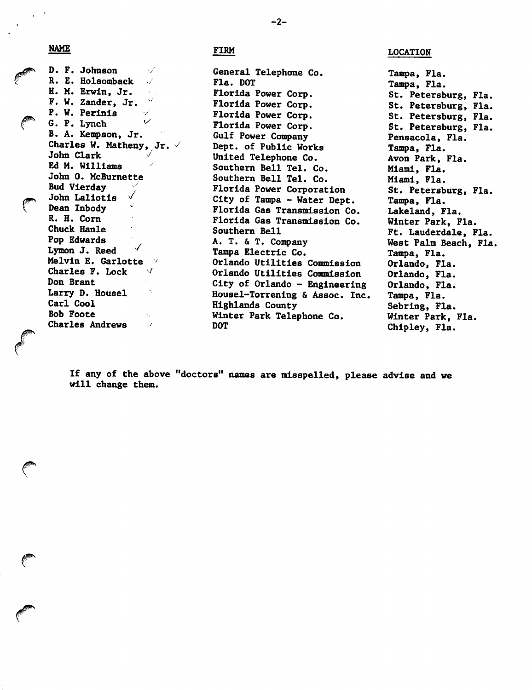NAME

FIRM

D. F. Johnson / R. E. Holsomback / H. M. Erwin, Jr. F. W. Zander, Jr. P. W. Perlnls G. P. Lynch B. A. Kempson, Jr. Charles W. Matheny, Jr.  $\vee$ John Clark Ed M. Williams John 0. McBurnette Bud Vierday John Lallotis ^ Dean Inbody R. H. Com Chuck Hanle Pop Edwards  $\checkmark$ Lymon J. Reed Melvin E. Garlotte Charles F. Lock  $\checkmark$ Don Brant Larry D. Housel Carl Cool Bob Foote Charles Andrews

General Telephone Co. Fla. DOT Florida Power Corp. Florida Power Corp. Florida Power Corp. Florida Power Corp. Gulf Power Company Dept. of Public Works United Telephone Co. Southern Bell Tel. Co. Southern Bell Tel. Co. Florida Power Corporation City of Tampa - Water Dept. Florida Gas Transmission Co. Florida Gas Transmission Co. Southern Bell A. T. & T. Company Tampa Electric Co. Orlando Utilities Commission Orlando Utilities Commission City of Orlando - Engineering Housel-Torrening & Assoc. Inc. Highlands County Winter Park Telephone Co. DOT

LOCATION

Tampa, Fla. Tampa, Fla. St. Petersburg, Fla. St. Petersburg, Fla. St. Petersburg, Fla. St. Petersburg, Fla. Pensacola, Fla. Tampa, Fla. Avon Park, Fla. Miami, Fla. Miami, Fla. St. Petersburg, Fla. Tampa, Fla. Lakeland, Fla. Winter Park, Fla. Ft. Lauderdale, Fla. West Palm Beach, Fla. Tampa, Fla. Orlando, Fla. Orlando, Fla. Orlando, Fla. Tampa, Fla. Sebring, Fla. Winter Park, Fla. Chipley, Fla.

If any of the above "doctors" names are misspelled, please advise and we will change them.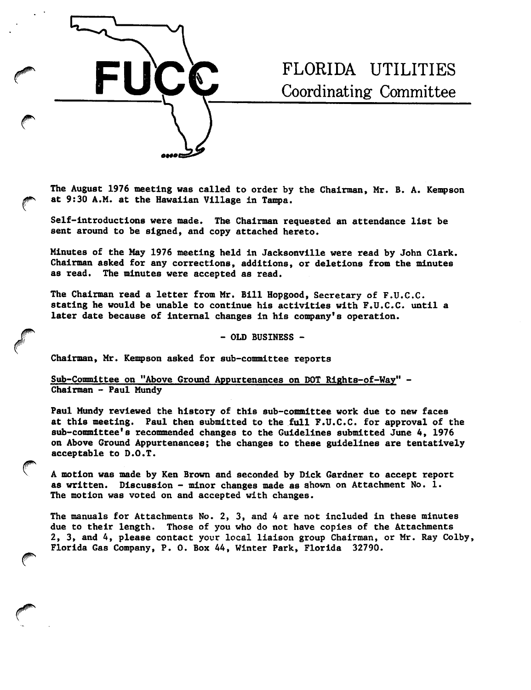

# FLORIDA UTILITIES Coordinating Committee

The August 1976 meeting was called to order by the Chairman, Mr. B. A. Kempson at 9:30 A.M. at the Hawaiian Village in Tampa.

Self-introductions were made. The Chairman requested an attendance list be sent around to be signed, and copy attached hereto.

Minutes of the May 1976 meeting held in Jacksonville were read by John Clark. Chairman asked for any corrections, additions, or deletions from the minutes as read. The minutes were accepted as read.

The Chairman read a letter from Mr. Bill Hopgood, Secretary of F.U.C.C. stating he would be unable to continue his activities with F.U.C.C. until a later date because of internal changes in his company's operation.

- OLD BUSINESS -

Chairman, Mr. Kempson asked for sub-committee reports

Sub-Committee on "Above Ground Appurtenances on DOT Rights-of-Way" - Chairman - Paul Mundy

Paul Mundy reviewed the history of this sub-committee work due to new faces at this meeting. Paul then submitted to the full F.U.C.C. for approval of the sub-committee's recommended changes to the Guidelines submitted June 4, 1976 on Above Ground Appurtenances; the changes to these guidelines are tentatively acceptable to D.O.T.

A motion was made by Ken Brown and seconded by Dick Gardner to accept report as written. Discussion - minor changes made as shown on Attachment No. 1. The motion was voted on and accepted with changes.

The manuals for Attachments No. 2, 3, and 4 are not included in these minutes due to their length. Those of you who do not have copies of the Attachments 2, 3, and 4, please contact your local liaison group Chairman, or Mr. Ray Colby, Florida Gas Company, P. 0. Box 44, Winter Park, Florida 32790.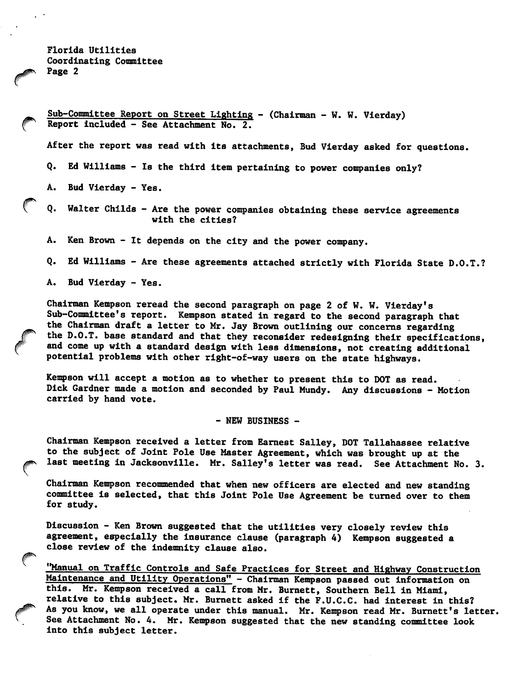Florida Utilities Coordinating Committee Page 2

Sub-Committee Report on Street Lighting - (Chairman - W. W. Vierday) Report included - See Attachment No. 2.

After the report was read with its attachments, Bud Vierday asked for questions.

Q. Ed Williams - Is the third item pertaining to power companies only?

A. Bud Vierday - Yes.

Q. Walter Childs - Are the power companies obtaining these service agreements with the cities?

A. Ken Brown - It depends on the city and the power company.

Q. Ed Williams - Are these agreements attached strictly with Florida State D.O.T.?

A. Bud Vierday - Yes.

Chairman Kempson reread the second paragraph on page 2 of W. W. Vierday's Sub-Committee's report. Kempson stated in regard to the second paragraph that the Chairman draft a letter to Mr. Jay Brown outlining our concerns regarding the D.O.T. base standard and that they reconsider redesigning their specifications, and come up with a standard design with less dimensions, not creating additional potential problems with other right-of-way users on the state highways.

Kempson will accept a motion as to whether to present this to DOT as read. Dick Gardner made a motion and seconded by Paul Mundy. Any discussions — Motion carried by hand vote.

- NEW BUSINESS -

Chairman Kempson received a letter from Earnest Salley, DOT Tallahassee relative to the subject of Joint Pole Use Master Agreement, which was brought up at the last meeting in Jacksonville. Mr. Salley's letter was read. See Attachment No. 3.

Chairman Kempson recommended that when new officers are elected and new standing committee is selected, that this Joint Pole Use Agreement be turned over to them for study.

Discussion - Ken Brown suggested that the utilities very closely review this agreement, especially the insurance clause (paragraph 4) Kempson suggested a close review of the indemnity clause also.

"Manual on Traffic Controls and Safe Practices for Street and Highway Construction Maintenance and Utility Operations" - Chairman Kempson passed out information on this. Mr. Kempson received a call from Mr. Burnett, Southern Bell in Miami, relative to this subject. Mr. Burnett asked if the F.U.C.C. had interest in this? As you know, we all operate under this manual. Mr. Kempson read Mr. Burnett's letter. See Attachment No. 4. Mr. Kempson suggested that the new standing committee look into this subject letter.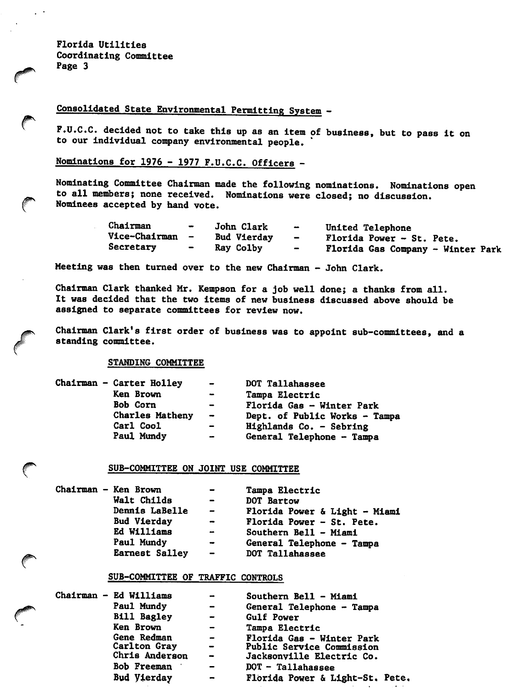Florida Utilities Coordinating Committee Page 3

 $\mathbb{R}^{\mathbb{Z}^2}$ 

€

## Consolidated State Environmental Permitting System -

F.U.C.C. decided not to take this up as an item of business, but to pass it on to our individual company environmental people.

Nominations for 1976 - 1977 F.U.C.C. Officers -

Nominating Committee Chairman made the following nominations. Nominations open to all members; none received. Nominations were closed; no discussion. Nominees accepted by hand vote.

| Chairman        | $\rightarrow$            | John Clark  | $\overline{\phantom{a}}$ | United Telephone                  |
|-----------------|--------------------------|-------------|--------------------------|-----------------------------------|
| Vice-Chairman - |                          | Bud Vierday | $\overline{\phantom{0}}$ | Florida Power - St. Pete.         |
| Secretary       | $\overline{\phantom{0}}$ | Ray Colby   | $\sim$                   | Florida Gas Company - Winter Park |

Meeting was then turned over to the new Chairman - John Clark.

Chairman Clark thanked Mr. Kempson for a Job well done; a thanks from all. It was decided that the two items of new business discussed above should be assigned to separate committees for review now.

Chairman Clark's first order of business was to appoint sub-committees, and a standing committee.

STANDING COMMITTEE

| Chairman - Carter Holley | $\overline{\phantom{0}}$ | DOT Tallahassee               |
|--------------------------|--------------------------|-------------------------------|
| Ken Brown                | $\sim$                   | Tampa Electric                |
| <b>Bob Corn</b>          | $\blacksquare$           | Florida Gas - Winter Park     |
| Charles Matheny          | $\sim$                   | Dept. of Public Works - Tampa |
| Carl Cool                | $\blacksquare$           | Highlands Co. - Sebring       |
| Paul Mundy               |                          | General Telephone - Tampa     |
|                          |                          |                               |

### SUB-COMMITTEE ON JOINT USE COMMITTEE

| Chairman - Ken Brown  | $\overline{\phantom{0}}$ | Tampa Electric                |
|-----------------------|--------------------------|-------------------------------|
| Walt Childs           | $\blacksquare$           | DOT Bartow                    |
| Dennis LaBelle        | $\sim$                   | Florida Power & Light - Miami |
| Bud Vierday           | $\bullet$                | Florida Power - St. Pete.     |
| Ed Williams           | $\rightarrow$            | Southern Bell - Miami         |
| Paul Mundy            | $\overline{\phantom{a}}$ | General Telephone - Tampa     |
| <b>Earnest Salley</b> | $\sim$                   |                               |

### SUB-COMMITTEE OF TRAFFIC CONTROLS

| Chairman - Ed Williams<br>Paul Mundy |                    | $\rightarrow$<br>$\overline{\phantom{0}}$ | Southern Bell - Miami<br>General Telephone - Tampa |
|--------------------------------------|--------------------|-------------------------------------------|----------------------------------------------------|
|                                      | <b>Bill Bagley</b> | $\overline{\phantom{0}}$                  | Gulf Power                                         |
|                                      | Ken Brown          | $\rightarrow$                             | Tampa Electric                                     |
|                                      | Gene Redman        | $\sim$                                    | Florida Gas - Winter Park                          |
|                                      | Carlton Gray       | $\sim$ $-$                                | Public Service Commission                          |
|                                      | Chris Anderson     | $\overline{\phantom{a}}$                  | Jacksonville Electric Co.                          |
|                                      | Bob Freeman        | $\equiv$                                  | $DOT - Tallahasse$                                 |
|                                      | Bud Vierday        | $\bullet$                                 | Florida Power & Light-St. Pete.                    |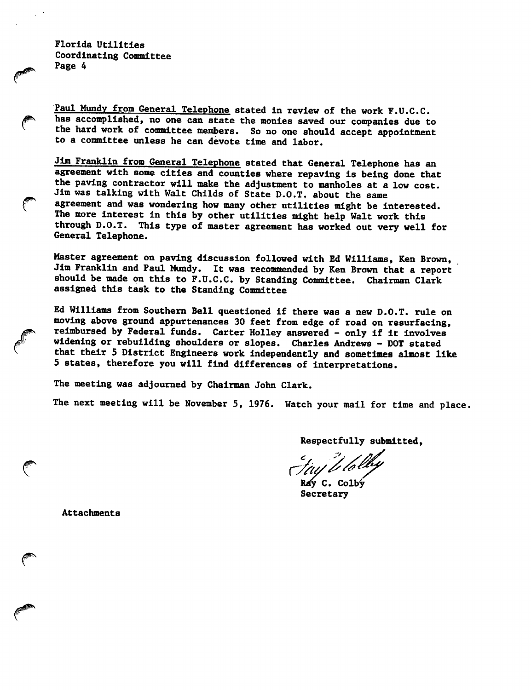Florida Utilities Coordinating Committee Page 4

 $\ell$ 

Paul Mundy from General Telephone stated in review of the work F.U.C.C. has accomplished, no one can state the monies saved our companies due to the hard work of committee members. So no one should accept appointment to a committee unless he can devote time and labor.

Jim Franklin from General Telephone stated that General Telephone has an agreement with some cities and counties where repaving is being done that the paving contractor will make the adjustment to manholes at a low cost. Jim was talking with Walt Childs of State D.O.T, about the same agreement and was wondering how many other utilities might be interested. The more interest in this by other utilities might help Walt work this through D.O.T. This type of master agreement has worked out very well for General Telephone.

Master agreement on paving discussion followed with Ed Williams, Ken Brown, Jim Franklin and Paul Mundy. It was recommended by Ken Brown that a report should be made on this to F.U.C.C. by Standing Committee. Chairman Clark assigned this task to the Standing Committee

Ed Williams from Southern Bell questioned if there was a new D.O.T. rule on moving above ground appurtenances 30 feet from edge of road on resurfacing, reimbursed by Federal funds. Carter Holley answered - only if it involves widening or rebuilding shoulders or slopes. Charles Andrews - DOT stated that their 5 District Engineers work independently and sometimes almost like 5 states, therefore you will find differences of interpretations.

The meeting was adjourned by Chairman John Clark.

The next meeting will be November 5, 1976. Watch your mail for time and place,

Respectfully submitted.

Tay to lot

Rdy C. Colby Secretary

Attachments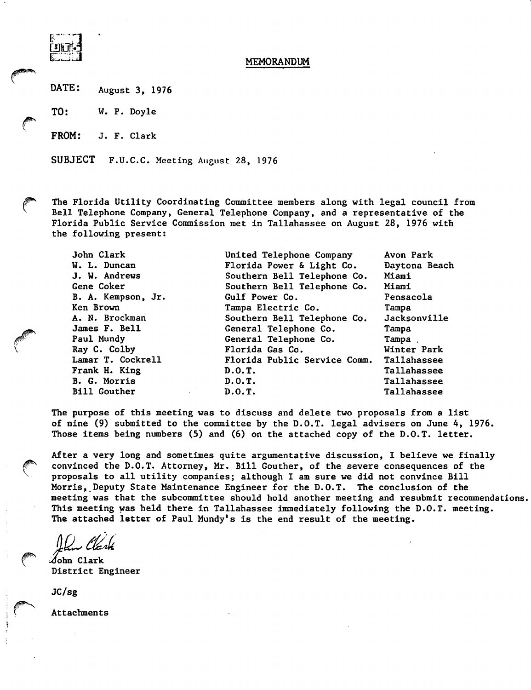

DATE: August 3, 1976

TO: W. P. Doyle

**taug** 

FROM: J. F. Clark

SUBJECT F.U.C.C. Meeting August 28, 1976

The Florida Utility Coordinating Committee members along with legal council from Bell Telephone Company, General Telephone Company, and a representative of the Florida Public Service Commission met in Tallahassee on August 28, 1976 with the following present:

| United Telephone Company     | Avon Park     |
|------------------------------|---------------|
| Florida Power & Light Co.    | Daytona Beach |
| Southern Bell Telephone Co.  | Miami         |
| Southern Bell Telephone Co.  | Miami         |
| Gulf Power Co.               | Pensacola     |
| Tampa Electric Co.           | Tampa         |
| Southern Bell Telephone Co.  | Jacksonville  |
| General Telephone Co.        | Tampa         |
| General Telephone Co.        | Tampa.        |
| Florida Gas Co.              | Winter Park   |
| Florida Public Service Comm. | Tallahassee   |
| D.0.T.                       | Tallahassee   |
| D.0.T.                       | Tallahassee   |
| D.0.T.                       | Tallahassee   |
|                              |               |

The purpose of this meeting was to discuss and delete two proposals from a list of nine (9) submitted to the committee by the D.O.T. legal advisers on June 4, 1976. Those items being numbers (5) and (6) on the attached copy of the D.O.T. letter.

After a very long and sometimes quite argumentative discussion, I believe we finally convinced the D.O.T. Attorney, Mr. Bill Gouther, of the severe consequences of the proposals to all utility companies; although I am sure we did not convince Bill Morris, Deputy State Maintenance Engineer for the D.O.T. The conclusion of the meeting was that the subcommittee should hold another meeting and resubmit recommendations. This meeting was held there in Tallahassee Immediately following the D.O.T. meeting. The attached letter of Paul Mundy's is the end result of the meeting.

 $\mathcal J$ ohn Clark District Engineer

JC/sg

Attachments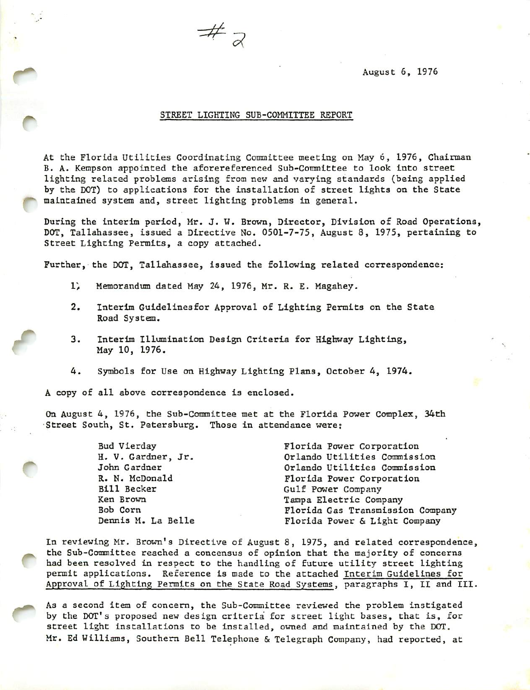August 6, 1976

### STREET LIGHTING SUB-COMMITTEE REPORT

 $#$ <sub>2</sub>

At the Florida Utilities Coordinating Committee meeting on May 6, 1976, Chairman B. A. Kempson appointed the aforereferenced Sub-Committee to look into street lighting related problens arising from new and varying standards (being applied by the DOT) to applications for the installation of street lights on the State maintained system and, street lighting problems in general.

During the interim period, Mr. J. W. Brown, Director, Division of Road Operations, DOT, Tallahassee, issued a Directive No. 0501-7-75, August 8, 1975, pertaining to Street Lighting Permits, a copy attached.

Further, the DOT, Tallahassee, issued the following related correspondence;

- 1) Memorandum dated May 24, 1976, Mr. R. E. Magahey.
- 2. Interim Guidelineafor Approval of Lighting Permits on the State Road System.
- 3. Interim Illumination Design Criteria for Highway Lighting, May 10, 1976.
- 4. Symbols for Use on Highway Lighting Plans, October 4, 1974.

A copy of all above correspondence is enclosed.

r

r

On August 4, 1976, the Sub-Committee met at the Florida Power Complex, 34th Street South, St. Petersburg. Those in attendance were;

| Florida Power Corporation        |  |  |
|----------------------------------|--|--|
| Orlando Utilities Commission     |  |  |
| Orlando Utilities Commission     |  |  |
| Florida Power Corporation        |  |  |
| Gulf Power Company               |  |  |
| Tampa Electric Company           |  |  |
| Florida Gas Transmission Company |  |  |
| Florida Power & Light Company    |  |  |
|                                  |  |  |

In reviewing Mr. Brown's Directive of August 8, 1975, and related correspondence, the Sub-Committee reached a concensus of opinion that the majority of concerns had been resolved in respect to the handling of future utility street lighting permit applications. Reference is made to the attached Interim Guidelines for Approval of Lighting Permits on the State Road Systems, paragraphs I, II and III.

As a second item of concern, the Sub-Committee reviewed the problem instigated by the DOT's proposed new design criteria for street light bases, that is, for street light installations to be installed, owned and maintained by the DOT. Mr. Ed Williams, Southern Bell Telephone & Telegraph Company, had reported, at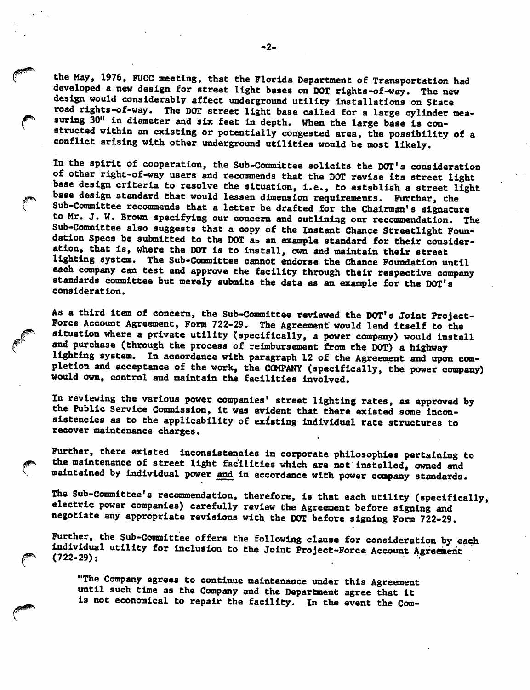the May, 1976, PUCC meeting, that the Florida Department of Transportation had developed a new design for street light bases on DOT rlghts-of-way. The new design would considerably affect underground utility Installations on State road rlghts-of-way. The DOT street light base called for a large cylinder mea suring 30" in diameter and six feet in depth. When the large base is constructed within an existing or potentially congested area, the possibility of a conflict arising with other underground utilities would be most likely.

In the spirit of cooperation, the Sub-Committee solicits the DOT's consideration of other right-of-way users and reconanehda that the DOT revise Its street light base design criteria to resolve the situation, i.e., to establish a street light base design standard that would lessen dimension requirements. Further, the Sub-Committee recommends that a letter be drafted for the Chairman's signature to Mr. J. W. Brown specifying our concern and outlining our reconmendatlon. The Sub-Committee also suggests that a copy of the Instant Chance Streetlight Foun dation Specs be submitted to the DOT a» an example standard for their consider ation, that Is, where the DOT Is to Install, own and maintain their street lighting system. The Sub-Committee cannot endorse the Chance Foundation until each company can test and approve the facility through their respective company standards committee but merely submits the data as an example for the DOT's consideration.

As a third Item of concern, the Sub-Committee reviewed the DOT's Joint Project-Force Account Agreement, Form 722-29. The Agreement would lend Itself to the situation where a private utility (specifically, a power company) would install and purchase (through the process of reimbursement from the DOT) a highway lighting system. In accordance with paragraph 12 of the Agreement and upon completion and acceptance of the work, the COMPANY (specifically, the power company) would own, control and maintain the facilities Involved.

In reviewing the various power companies' street lighting rates, as approved by the Public Service Commission, it was evident that there existed some inconsistencies as to the applicability of existing Individual rate structures to recover maintenance charges.

Further, there existed inconsistencies in corporate philosophies pertaining to the maintenance of street light facilities which are not Installed, owned and maintained by Individual power and In accordance with power company standards.

The Sub-Committee's recommendation, therefore, is that each utility (specifically, electric power companies) carefully review the Agreement before signing and negotiate any appropriate revisions with the DOT before signing Form 722-29.

Further, the Sub-Committee offers the following clause for consideration by each individual utility for Inclusion to the Joint Project-Force Account Agreement (722-29);

"The Company agrees to continue maintenance under this Agreement until such time as the Company and the Department agree that It is not economical to repair the facility. In the event the Com-